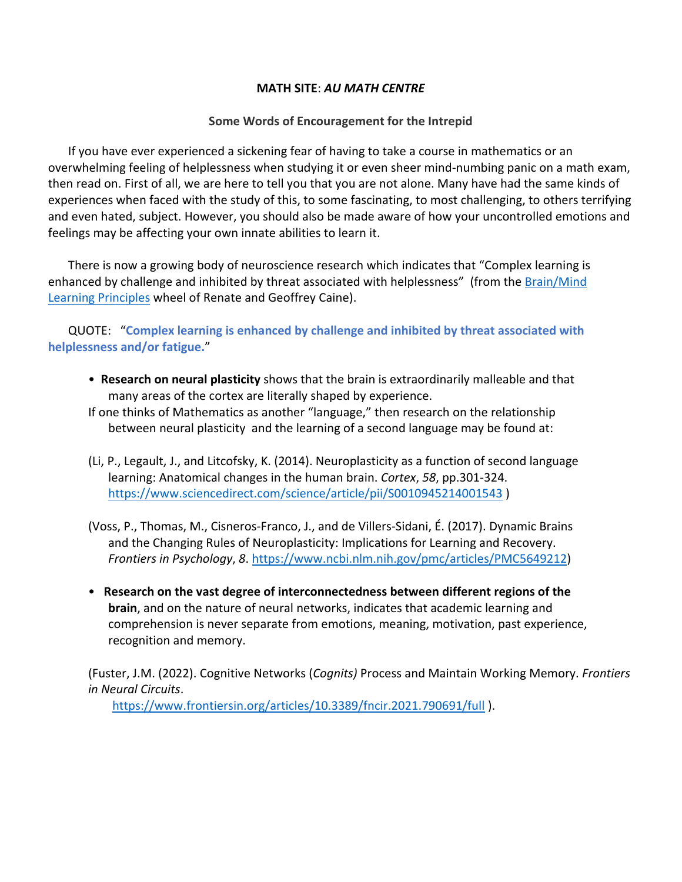## **MATH SITE**: *AU MATH CENTRE*

## **Some Words of Encouragement for the Intrepid**

If you have ever experienced a sickening fear of having to take a course in mathematics or an overwhelming feeling of helplessness when studying it or even sheer mind-numbing panic on a math exam, then read on. First of all, we are here to tell you that you are not alone. Many have had the same kinds of experiences when faced with the study of this, to some fascinating, to most challenging, to others terrifying and even hated, subject. However, you should also be made aware of how your uncontrolled emotions and feelings may be affecting your own innate abilities to learn it.

There is now a growing body of neuroscience research which indicates that "Complex learning is enhanced by challenge and inhibited by threat associated with helplessness" (from the Brain/Mind [Learning Principles](https://www.education.sa.gov.au/sites/default/files/12_brain_mind_natural_learning_principles.pdf?acsf_files_redirect) wheel of Renate and Geoffrey Caine).

QUOTE: "**Complex learning is enhanced by challenge and inhibited by threat associated with helplessness and/or fatigue.**"

- **Research on neural plasticity** shows that the brain is extraordinarily malleable and that many areas of the cortex are literally shaped by experience.
- If one thinks of Mathematics as another "language," then research on the relationship between neural plasticity and the learning of a second language may be found at:
- (Li, P., Legault, J., and Litcofsky, K. (2014). Neuroplasticity as a function of second language learning: Anatomical changes in the human brain. *Cortex*, *58*, pp.301-324. <https://www.sciencedirect.com/science/article/pii/S0010945214001543> )
- (Voss, P., Thomas, M., Cisneros-Franco, J., and de Villers-Sidani, É. (2017). Dynamic Brains and the Changing Rules of Neuroplasticity: Implications for Learning and Recovery. *Frontiers in Psychology*, *8*. [https://www.ncbi.nlm.nih.gov/pmc/articles/PMC5649212\)](https://www.ncbi.nlm.nih.gov/pmc/articles/PMC5649212)
- **Research on the vast degree of interconnectedness between different regions of the brain**, and on the nature of neural networks, indicates that academic learning and comprehension is never separate from emotions, meaning, motivation, past experience, recognition and memory.

(Fuster, J.M. (2022). Cognitive Networks (*Cognits)* Process and Maintain Working Memory. *Frontiers in Neural Circuits*.

<https://www.frontiersin.org/articles/10.3389/fncir.2021.790691/full> ).